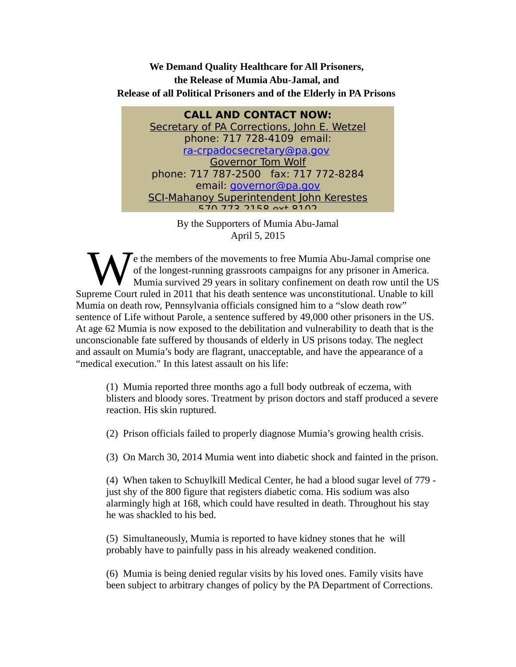**We Demand Quality Healthcare for All Prisoners, the Release of Mumia Abu-Jamal, and Release of all Political Prisoners and of the Elderly in PA Prisons**

**CALL AND CONTACT NOW:** Secretary of PA Corrections, John E. Wetzel phone: 717 728-4109 email: [ra-crpadocsecretary@pa.gov](mailto:ra-crpadocsecretary@pa.gov) Governor Tom Wolf phone: 717 787-2500 fax: 717 772-8284 email: *governor@pa.gov* SCI-Mahanoy Superintendent John Kerestes 270 772 7158 AVT 8102

> By the Supporters of Mumia Abu-Jamal April 5, 2015

 $\sum$  e the members of the movements to free Mumia Abu-Jamal comprise one of the longest-running grassroots campaigns for any prisoner in America. Mumia survived 29 years in solitary confinement on death row until the US Supreme Court ruled in 2011 that his death sentence was unconstitutional. Unable to kill allows are court ruled in 2011 that his death sentence was unconstitutional. Unable to kill allows are court ruled in 2011 that his d Mumia on death row, Pennsylvania officials consigned him to a "slow death row" sentence of Life without Parole, a sentence suffered by 49,000 other prisoners in the US. At age 62 Mumia is now exposed to the debilitation and vulnerability to death that is the unconscionable fate suffered by thousands of elderly in US prisons today. The neglect and assault on Mumia's body are flagrant, unacceptable, and have the appearance of a "medical execution." In this latest assault on his life:

(1) Mumia reported three months ago a full body outbreak of eczema, with blisters and bloody sores. Treatment by prison doctors and staff produced a severe reaction. His skin ruptured.

(2) Prison officials failed to properly diagnose Mumia's growing health crisis.

(3) On March 30, 2014 Mumia went into diabetic shock and fainted in the prison.

(4) When taken to Schuylkill Medical Center, he had a blood sugar level of 779 just shy of the 800 figure that registers diabetic coma. His sodium was also alarmingly high at 168, which could have resulted in death. Throughout his stay he was shackled to his bed.

(5) Simultaneously, Mumia is reported to have kidney stones that he will probably have to painfully pass in his already weakened condition.

(6) Mumia is being denied regular visits by his loved ones. Family visits have been subject to arbitrary changes of policy by the PA Department of Corrections.